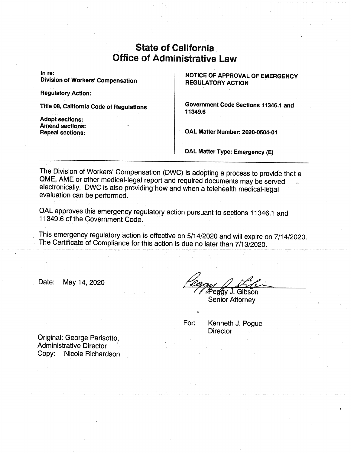# • State of C Office of Administrative Law

In re:

Division of Workers'Compensation

Regulatory Action:

Adopt sections: Amend sections: NOTICE OF APPROVAL OF EMERGENCY **REGULATORY ACTION** 

Title 08, California Code of Regulations | Government Code Sections 11346.1 and 11349.6

Repeal sections: <br> CAL Matter Number: 2020-0504-01

OAL Matter Type: Emergency (E)

The Division of Workers' Compensation (DWC) is adopting a process to provide that a QME, AME or other medical-legal report and required documents may be served electronically. DWC is also providing how and when a telehealth medical-legal evaluation can be performed.

OALapproves this emergency regulatory action pursuant to sections 11346.1 and 11349.6 of the Government Code.

This emergency regulatory action is effective on 5/14/2020 and will expire on 7/14/2020. The Certificate of Compliance for this action is due no later than 7/13/2020.

Date: May 14,2020

 $\mathscr P$ eg $\c{g}$ y J. Gibson

Senior Attorney

For: Kenneth J. Pogue **Director** 

Original: George Parisotto, Administrative Director Copy: Nicole Richardson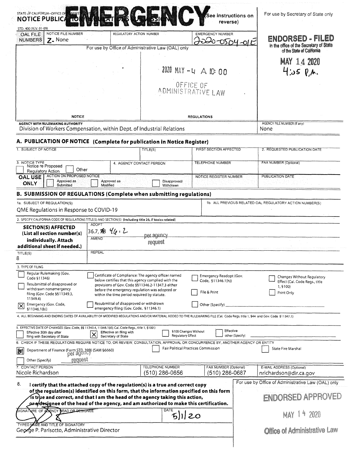| STATE OF CALIFORNIA-OFFICE OF MINIS<br><b>NOTICE PUBLICA</b>                                                                                                                                                                                             |                                                                                                           | <b>GASTACT</b>                              | See instructions on<br>reverse)               | For use by Secretary of State only                                    |
|----------------------------------------------------------------------------------------------------------------------------------------------------------------------------------------------------------------------------------------------------------|-----------------------------------------------------------------------------------------------------------|---------------------------------------------|-----------------------------------------------|-----------------------------------------------------------------------|
| STD. 400 (REV. 01-09)<br>NOTICE FILE NUMBER<br><b>OAL FILE</b><br><b>NUMBERS</b><br>Z. None                                                                                                                                                              | REGULATORY ACTION NUMBER                                                                                  |                                             | <b>EMERGENCY NUMBER</b><br>ברי בי             | ENDORSED - FILED<br>$04 - 012$                                        |
|                                                                                                                                                                                                                                                          | For use by Office of Administrative Law (OAL) only                                                        |                                             |                                               | in the office of the Secretary of State<br>of the State of California |
|                                                                                                                                                                                                                                                          |                                                                                                           |                                             |                                               | <b>MAY 14 2020</b>                                                    |
|                                                                                                                                                                                                                                                          |                                                                                                           |                                             | 2020 MAY -4 A IC: 00                          | 4.05 P.M.                                                             |
|                                                                                                                                                                                                                                                          |                                                                                                           |                                             |                                               |                                                                       |
|                                                                                                                                                                                                                                                          |                                                                                                           |                                             | OFFICE OF<br>ADMINISTRATIVE LAW               |                                                                       |
| <b>NOTICE</b>                                                                                                                                                                                                                                            |                                                                                                           | <b>REGULATIONS</b>                          |                                               |                                                                       |
| <b>AGENCY WITH RULEMAKING AUTHORITY</b><br>Division of Workers Compensation, within Dept. of Industrial Relations                                                                                                                                        |                                                                                                           |                                             |                                               | AGENCY FILE NUMBER (If any)<br>None                                   |
| A. PUBLICATION OF NOTICE (Complete for publication in Notice Register)                                                                                                                                                                                   |                                                                                                           |                                             |                                               |                                                                       |
| 1. SUBJECT OF NOTICE                                                                                                                                                                                                                                     |                                                                                                           | TITLE(S)                                    | <b>FIRST SECTION AFFECTED</b>                 | 2. REQUESTED PUBLICATION DATE                                         |
| 3. NOTICE TYPE<br>Notice re Proposed<br>Other                                                                                                                                                                                                            | 4. AGENCY CONTACT PERSON                                                                                  |                                             | <b>TELEPHONE NUMBER</b>                       | FAX NUMBER (Optional)                                                 |
| Regulatory Action<br>ACTION ON PROPOSED NOTICE<br><b>OAL USE</b><br>Approved as<br>ONLY<br>Submitted                                                                                                                                                     | Approved as<br>Modified                                                                                   | Disapproved/<br>Withdrawn                   | NOTICE REGISTER NUMBER                        | PUBLICATION DATE                                                      |
| <b>B. SUBMISSION OF REGULATIONS (Complete when submitting regulations)</b>                                                                                                                                                                               |                                                                                                           |                                             |                                               |                                                                       |
| 1a. SUBJECT OF REGULATION(S)<br>QME Regulations in Response to COVID-19                                                                                                                                                                                  |                                                                                                           |                                             |                                               | 1b. ALL PREVIOUS RELATED OAL REGULATORY ACTION NUMBER(S)              |
| 2. SPECIFY CALIFORNIA CODE OF REGULATIONS TITLE(S) AND SECTION(S) (Including title 26, if toxics related)                                                                                                                                                |                                                                                                           |                                             |                                               |                                                                       |
| <b>SECTION(S) AFFECTED</b><br>(List all section number(s)<br>individually. Attach                                                                                                                                                                        | ADOP <sup>-</sup><br>36.7,78 46.2<br>AMEND                                                                | <u>Det aqency</u><br>request                |                                               |                                                                       |
| additional sheet if needed.)<br>TITLE(S)                                                                                                                                                                                                                 | <b>REPEAL</b>                                                                                             |                                             |                                               |                                                                       |
| 3. TYPE OF FILING                                                                                                                                                                                                                                        |                                                                                                           |                                             |                                               |                                                                       |
| Regular Rulemaking (Gov.<br>Code §11346)                                                                                                                                                                                                                 | Certificate of Compliance: The agency officer named<br>below certifies that this agency complied with the |                                             | Emergency Readopt (Gov.<br>Code, §11346.1(h)) | Changes Without Regulatory<br>Effect (Cal. Code Regs., title          |
| Resubmittal of disapproved or<br>provisions of Gov. Code §§11346.2-11347.3 either<br>withdrawn nonemergency<br>before the emergency regulation was adopted or<br>filing (Gov. Code §§11349.3,<br>within the time period required by statute.<br>11349.4) |                                                                                                           |                                             | File & Print                                  | 1, §100)<br>Print Only                                                |
| Emergency (Gov. Code,<br> ╳<br>\$11346.1(b)                                                                                                                                                                                                              | Resubmittal of disapproved or withdrawn<br>emergency filing (Gov. Code, §11346.1)                         |                                             | Other (Specify)                               |                                                                       |
| 4. ALL BEGINNING AND ENDING DATES OF AVAILABILITY OF MODIFIED REGULATIONS AND/OR MATERIAL ADDED TO THE RULEMAKING FILE (Cal. Code Regs. title 1, §44 and Gov. Code §11347.1)                                                                             |                                                                                                           |                                             |                                               |                                                                       |
| 5. EFFECTIVE DATE OF CHANGES (Gov. Code, §§ 11343.4, 11346.1(d); Cal. Code Regs., title 1, §100)<br>Effective 30th day after<br>filing with Secretary of State                                                                                           | Effective on filing with<br>$\bar{\bm{\mathsf{x}}}$<br>Secretary of State                                 | <b>Regulatory Effect</b>                    | Effective<br>§100 Changes Without             | other (Specify)                                                       |
| 6. CHECK IF THESE REGULATIONS REQUIRE NOTICE TO, OR REVIEW, CONSULTATION, APPROVAL OR CONCURRENCE BY, ANOTHER AGENCY OR ENTITY<br>Department of Finance (Form STD, 399) (SAM 56660)<br>DOI 2001LCy<br>例                                                  |                                                                                                           |                                             | <b>Fair Political Practices Commission</b>    | <b>State Fire Marshal</b>                                             |
| request<br>Other (Specify)                                                                                                                                                                                                                               |                                                                                                           |                                             |                                               |                                                                       |
| 7. CONTACT PERSON<br>Nicole Richardson                                                                                                                                                                                                                   |                                                                                                           | <b>TELEPHONE NUMBER</b><br>$(510)$ 286-0656 | FAX NUMBER (Optional)<br>$(510)$ 286-0687     | E-MAIL ADDRESS (Optional)<br>nrichardson@dir.ca.gov                   |
|                                                                                                                                                                                                                                                          |                                                                                                           |                                             |                                               | For use by Office of Administrative Law (OAL) only                    |
|                                                                                                                                                                                                                                                          |                                                                                                           |                                             |                                               |                                                                       |
| I certify that the attached copy of the regulation(s) is a true and correct copy<br>of the regulation(s) identified on this form, that the information specified on this form                                                                            | is true and correct, and that I am the head of the agency taking this action,                             |                                             |                                               |                                                                       |
| 8.<br>oradesignee of the head of the agency, and am authorized to make this certification.<br>SIGNATURE OF A SENCY HEAD OR DESIGNEE                                                                                                                      |                                                                                                           | DATE                                        | 5  20                                         | ENDORSED APPROVED<br><b>MAY 14 2020</b>                               |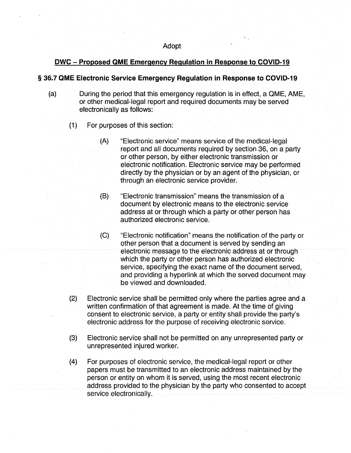#### Adopt

# DWC - Proposed QME Emergency Regulation in Response to COVID-19

## **§ 36.7 QME Electronic Service Emergency Regulation in Response to COVID-19**

- (a) During the period that this emergency regulation is in effect, a QME, AME, or other medical-legal report and required documents may be served electronically as follows:
	- (1) For purposes of this section:
		- (A) "Electronic service" means service of the medical-legal report and all documents required by section 36, on a party or other person, by either electronic transmission or electronic notification. Electronic service may be performed directly by the physician or by an agent of the physician, or through an electronic service provider.
		- (B) "Electronic transmission" means the transmission of a document by electronic means to the electronic service address at or through which a party or other person has authorized electronic service.
		- (C) "Electronic notification" means the notification of the party or other person that a document is served by sending an electronic message to the electronic address at or through which the party or other person has authorized electronic service, specifying the exact name of the document served, and providing a hyperlink at which the served document may be viewed and downloaded.
	- (2) Electronic service shall be permitted only where the parties agree and a written confirmation of that agreement is made. At the time of giving consent to electronic service, a party or entity shall provide the party's electronic address for the purpose of receiving electronic service.
	- (3) Electronic service shall not be permitted on any unrepresented party or unrepresented injured worker.
	- (4) For purposes of electronic service, the medical-legal report or other papers must be transmitted to an electronic address maintained by the person or entity on whom it is served, using the most recent electronic address provided to the physician by the party who consented to accept service electronically.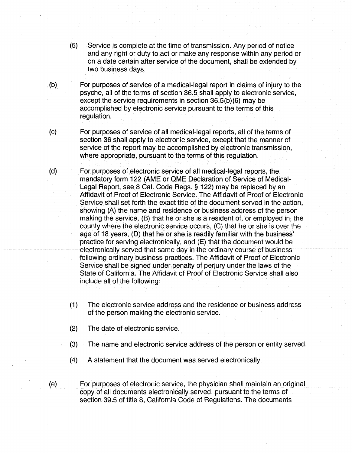- (5) Service is complete at the time of transmission. Any period of notice and any right or duty to act or make any response within any period or on a date certain after service of the document, shall be extended by two business days.
- (b) For purposes of service of a medical-legal report in claims of injury to the psyche, all of the terms of section 36.5 shall apply to electronic service, except the service requirements in section 36.5(b)(6) may be accomplished by electronic service pursuant to the terms of this regulation.
- (c) For purposes of service of all medical-legal reports, all of the terms of section 36 shall apply to electronic service, except that the manner of service of the report may be accomplished by electronic transmission, where appropriate, pursuant to the terms of this regulation.
- (d) For purposes of electronic service of all medical-legal reports, the mandatory form 122 (AME or QME Declaration of Service of Medical-Legal Report, see 8 Cal. Code Regs. §122) may be replaced by an Affidavit of Proof of Electronic Service. The Affidavit of Proof of Electronic Service shall set forth the exact title of the document served in the action, showing (A) the name and residence or business address of the person making the service, (B) that he or she is a resident of, or employed in, the county where the electronic service occurs, (C) that he or she is over the age of 18 years, (D) that he or she is readily familiar with the business' practice for serving electronically, and (E) that the document would be electronically served that same day in the ordinary course of business following ordinary business practices. The Affidavit of Proof of Electronic Service shall be signed under penalty of perjury under the laws of the State of California. The Affidavit of Proof of Electronic Service shall also include all of the following:
	- (1) The electronic service address and the residence or business address of the person making the electronic service.
	- (2) The date of electronic service.
	- (3) The name and electronic service address of the person or entity served.
	- (4) A statement that the document was served electronically.

(e) For purposes of electronic service, the physician shall maintain an original copy of all documents electronically served, pursuant to the terms of section 39.5 of title 8, California Code of Regulations. The documents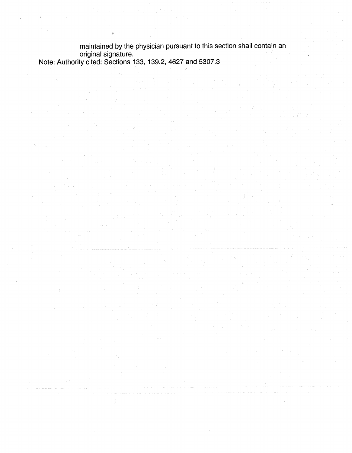maintained by the physician pursuant to this section shall contain an original signature. Note: Authority cited: Sections 133,139.2, 4627 and 5307.3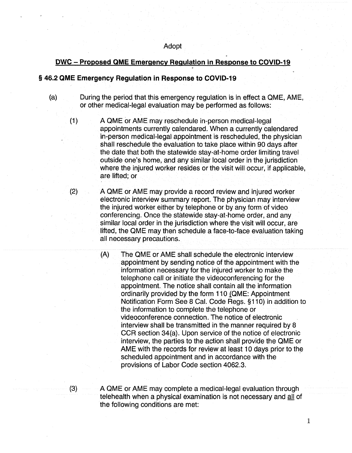## DWC - Proposed QME Emergency Regulation in Response to COVID-19

## **§ 46.2 QME Emergency Regulation in Response to COVID-19**

- (a) During the period that this emergency regulation is in effect a QME, AME, or other medical-legal evaluation may be performed as follows:
	- (1) A QME or AME may reschedule in-person medical-legal appointments currently calendared. When a currently calendared in-person medical-legal appointment is rescheduled, the physician shall reschedule the evaluation to take place within 90 days after the date that both the statewide stay-at-home order limiting travel outside one's home, and any similar local order in the jurisdiction where the injured worker resides or the visit will occur, if applicable, are lifted; or
	- (2) A QME or AME may provide a record review and injured worker electronic interview summary report. The physician may interview the injured worker either by telephone or by any form of video conferencing. Once the statewide stay-at-home order, and any similar local order in the jurisdiction where the visit will occur, are lifted, the QME may then schedule a face-to-face evaluation taking all necessary precautions.
		- (A) The QME or AME shall schedule the electronic interview appointment by sending notice of the appointment with the information necessary for the injured worker to make the telephone call or initiate the videoconferencing for the appointment. The notice shall contain all the information ordinarily provided by the form 110 (QME: Appointment Notification Form See 8 Cal. Code Regs. §110) in addition to the information to complete the telephone or videoconference connection. The notice of electronic interview shall be transmitted in the manner required by 8 CCR section 34(a). Upon service of the notice of electronic interview, the parties to the action shall provide the QME or AME with the records for review at least 10 days prior to the scheduled appointment and in accordance with the provisions of Labor Code section 4062.3.
		-

 $(3)$   $\longrightarrow$  A QME or AME may complete a medical-legal evaluation through telehealth when a physical examination is not necessary and all of the following conditions are met: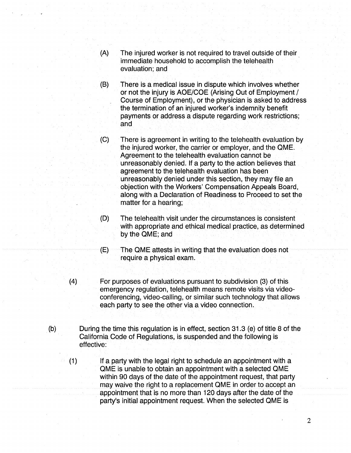- (A) The injured worker is not required to travel outside of their immediate household to accomplish the telehealth evaluation; and
- (B) There is a medical issue in dispute which involves whether or not the injury is AOE/COE (Arising Out of Employment/ Course of Employment), or the physician is asked to address the termination of an injured worker's indemnity benefit payments or address a dispute regarding work restrictions; and
- (C) There is agreement in writing to the telehealth evaluation by the injured worker, the carrier or employer, and the QME. Agreement to the telehealth evaluation cannot be unreasonably denied. If a party to the action believes that agreement to the telehealth evaluation has been unreasonably denied under this section, they may file an objection with the Workers' Compensation Appeals Board, along with a Declaration of Readiness to Proceed to set the matter for a hearing;
- (D) The telehealth visit under the circumstances is consistent with appropriate and ethical medical practice, as determined by the QME; and
- (E) The QME attests in writing that the evaluation does not require a physical exam.
- (4) For purposes of evaluations pursuant to subdivision (3) of this emergency regulation, telehealth means remote visits via videoconferencing, video-calling, or similar such technology that allows each party to see the other via a video connection.
- (b) During the time this regulation is in effect, section 31.3 (e) of title 8 of the California Code of Regulations, is suspended and the following is effective:
	- (1) If a party with the legal right to schedule an appointment with a QME is unable to obtain an appointment with a selected QME within 90 days of the date of the appointment request, that party may waive the right to a replacement QME in order to accept an appointment that is no more than 120 days after the date of the party's initial appointment request. When the selected QME is

 $\overline{2}$